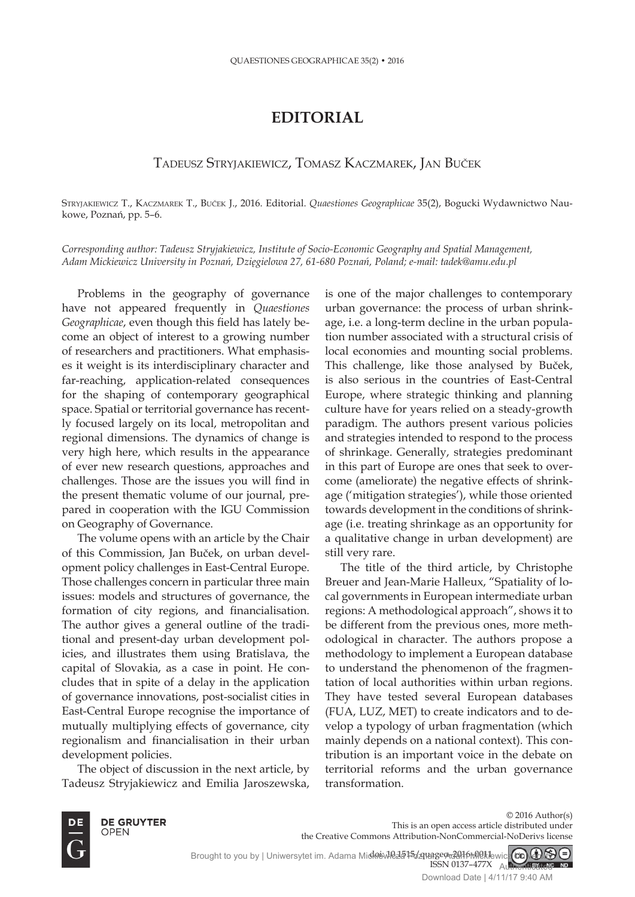## **EDITORIAL**

## TADEUSZ STRYJAKIEWICZ, TOMASZ KACZMAREK, JAN BUČEK

sTryjakiewicz T., kaczmarek T., Buček j., 2016. Editorial. *Quaestiones Geographicae* 35(2), Bogucki Wydawnictwo Naukowe, Poznań, pp. 5–6.

*Corresponding author: Tadeusz Stryjakiewicz, Institute of Socio-Economic Geography and Spatial Management, Adam Mickiewicz University in Poznań, Dzięgielowa 27, 61-680 Poznań, Poland; e-mail: tadek@amu.edu.pl*

Problems in the geography of governance have not appeared frequently in *Quaestiones Geographicae*, even though this field has lately become an object of interest to a growing number of researchers and practitioners. What emphasises it weight is its interdisciplinary character and far-reaching, application-related consequences for the shaping of contemporary geographical space. Spatial or territorial governance has recently focused largely on its local, metropolitan and regional dimensions. The dynamics of change is very high here, which results in the appearance of ever new research questions, approaches and challenges. Those are the issues you will find in the present thematic volume of our journal, prepared in cooperation with the IGU Commission on Geography of Governance.

The volume opens with an article by the Chair of this Commission, Jan Buček, on urban development policy challenges in East-Central Europe. Those challenges concern in particular three main issues: models and structures of governance, the formation of city regions, and financialisation. The author gives a general outline of the traditional and present-day urban development policies, and illustrates them using Bratislava, the capital of Slovakia, as a case in point. He concludes that in spite of a delay in the application of governance innovations, post-socialist cities in East-Central Europe recognise the importance of mutually multiplying effects of governance, city regionalism and financialisation in their urban development policies.

The object of discussion in the next article, by Tadeusz Stryjakiewicz and Emilia Jaroszewska,

is one of the major challenges to contemporary urban governance: the process of urban shrinkage, i.e. a long-term decline in the urban population number associated with a structural crisis of local economies and mounting social problems. This challenge, like those analysed by Buček, is also serious in the countries of East-Central Europe, where strategic thinking and planning culture have for years relied on a steady-growth paradigm. The authors present various policies and strategies intended to respond to the process of shrinkage. Generally, strategies predominant in this part of Europe are ones that seek to overcome (ameliorate) the negative effects of shrinkage ('mitigation strategies'), while those oriented towards development in the conditions of shrinkage (i.e. treating shrinkage as an opportunity for a qualitative change in urban development) are still very rare.

The title of the third article, by Christophe Breuer and Jean-Marie Halleux, "Spatiality of local governments in European intermediate urban regions: A methodological approach", shows it to be different from the previous ones, more methodological in character. The authors propose a methodology to implement a European database to understand the phenomenon of the fragmentation of local authorities within urban regions. They have tested several European databases (FUA, LUZ, MET) to create indicators and to develop a typology of urban fragmentation (which mainly depends on a national context). This contribution is an important voice in the debate on territorial reforms and the urban governance transformation.



**DE GRUYTER OPEN** 

© 2016 Author(s) This is an open access article distributed under the Creative Commons Attribution-NonCommercial-NoDerivs license

doi: NCL5T5/211age9<del>-2</del>016-0011 ISSN 0137–477X Brought to you by | Uniwersytet im. Adama Micklewicza Poznanego delkowicz **CC) GAN** Authenticated

Download Date | 4/11/17 9:40 AM